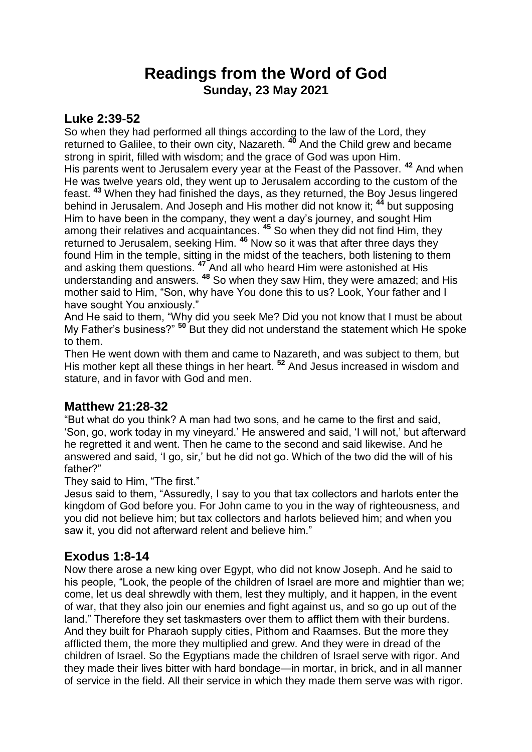# **Readings from the Word of God Sunday, 23 May 2021**

### **Luke 2:39-52**

So when they had performed all things according to the law of the Lord, they returned to Galilee, to their own city, Nazareth. **<sup>40</sup>** And the Child grew and became strong in spirit, filled with wisdom; and the grace of God was upon Him. His parents went to Jerusalem every year at the Feast of the Passover. **<sup>42</sup>** And when He was twelve years old, they went up to Jerusalem according to the custom of the feast. **<sup>43</sup>** When they had finished the days, as they returned, the Boy Jesus lingered behind in Jerusalem. And Joseph and His mother did not know it; **<sup>44</sup>** but supposing Him to have been in the company, they went a day's journey, and sought Him among their relatives and acquaintances. **<sup>45</sup>** So when they did not find Him, they returned to Jerusalem, seeking Him. **<sup>46</sup>** Now so it was that after three days they found Him in the temple, sitting in the midst of the teachers, both listening to them and asking them questions. **<sup>47</sup>** And all who heard Him were astonished at His understanding and answers. **<sup>48</sup>** So when they saw Him, they were amazed; and His mother said to Him, "Son, why have You done this to us? Look, Your father and I have sought You anxiously."

And He said to them, "Why did you seek Me? Did you not know that I must be about My Father's business?" **<sup>50</sup>** But they did not understand the statement which He spoke to them.

Then He went down with them and came to Nazareth, and was subject to them, but His mother kept all these things in her heart.<sup>52</sup> And Jesus increased in wisdom and stature, and in favor with God and men.

### **Matthew 21:28-32**

"But what do you think? A man had two sons, and he came to the first and said, 'Son, go, work today in my vineyard.' He answered and said, 'I will not,' but afterward he regretted it and went. Then he came to the second and said likewise. And he answered and said, 'I go, sir,' but he did not go. Which of the two did the will of his father?"

#### They said to Him, "The first."

Jesus said to them, "Assuredly, I say to you that tax collectors and harlots enter the kingdom of God before you. For John came to you in the way of righteousness, and you did not believe him; but tax collectors and harlots believed him; and when you saw it, you did not afterward relent and believe him."

### **Exodus 1:8-14**

Now there arose a new king over Egypt, who did not know Joseph. And he said to his people, "Look, the people of the children of Israel are more and mightier than we; come, let us deal shrewdly with them, lest they multiply, and it happen, in the event of war, that they also join our enemies and fight against us, and so go up out of the land." Therefore they set taskmasters over them to afflict them with their burdens. And they built for Pharaoh supply cities, Pithom and Raamses. But the more they afflicted them, the more they multiplied and grew. And they were in dread of the children of Israel. So the Egyptians made the children of Israel serve with rigor. And they made their lives bitter with hard bondage—in mortar, in brick, and in all manner of service in the field. All their service in which they made them serve was with rigor.